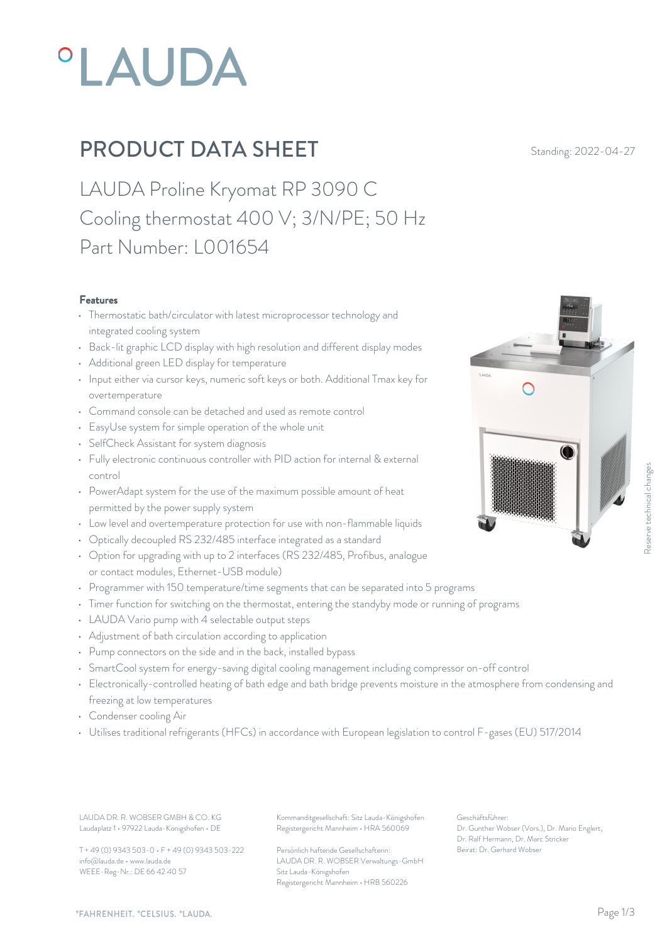# PLAUDA

# **PRODUCT DATA SHEET** Standing: 2022-04-27

LAUDA Proline Kryomat RP 3090 C Cooling thermostat 400 V; 3/N/PE; 50 Hz Part Number: L001654

### Features

- Thermostatic bath/circulator with latest microprocessor technology and integrated cooling system
- Back-lit graphic LCD display with high resolution and different display modes
- Additional green LED display for temperature
- Input either via cursor keys, numeric soft keys or both. Additional Tmax key for overtemperature
- Command console can be detached and used as remote control
- EasyUse system for simple operation of the whole unit
- SelfCheck Assistant for system diagnosis
- Fully electronic continuous controller with PID action for internal & external control
- PowerAdapt system for the use of the maximum possible amount of heat permitted by the power supply system
- Low level and overtemperature protection for use with non-flammable liquids
- Optically decoupled RS 232/485 interface integrated as a standard
- Option for upgrading with up to 2 interfaces (RS 232/485, Profibus, analogue or contact modules, Ethernet-USB module)
- Programmer with 150 temperature/time segments that can be separated into 5 programs
- Timer function for switching on the thermostat, entering the standyby mode or running of programs
- LAUDA Vario pump with 4 selectable output steps
- Adjustment of bath circulation according to application
- Pump connectors on the side and in the back, installed bypass
- SmartCool system for energy-saving digital cooling management including compressor on-off control
- Electronically-controlled heating of bath edge and bath bridge prevents moisture in the atmosphere from condensing and freezing at low temperatures
- Condenser cooling Air
- Utilises traditional refrigerants (HFCs) in accordance with European legislation to control F-gases (EU) 517/2014

LAUDA DR. R. WOBSER GMBH & CO. KG Kommanditgesellschaft: Sitz Lauda-Königshofen Geschäftsführer: Laudaplatz 1 • 97922 Lauda-Königshofen • DE

T + 49 (0) 9343 503-0 • F + 49 (0) 9343 503-222 info@lauda.de • www.lauda.de WEEE-Reg-Nr.: DE 66 42 40 57

Registergericht Mannheim • HRA 560069

Persönlich haftende Gesellschafterin: Beirat: Dr. Gerhard Wobse LAUDA DR. R. WOBSER Verwaltungs-GmbH Sitz Lauda-Königshofen Registergericht Mannheim • HRB 560226

Geschäftsführer: Dr. Gunther Wobser (Vors.), Dr. Mario Englert, Dr. Ralf Hermann, Dr. Marc Stricker

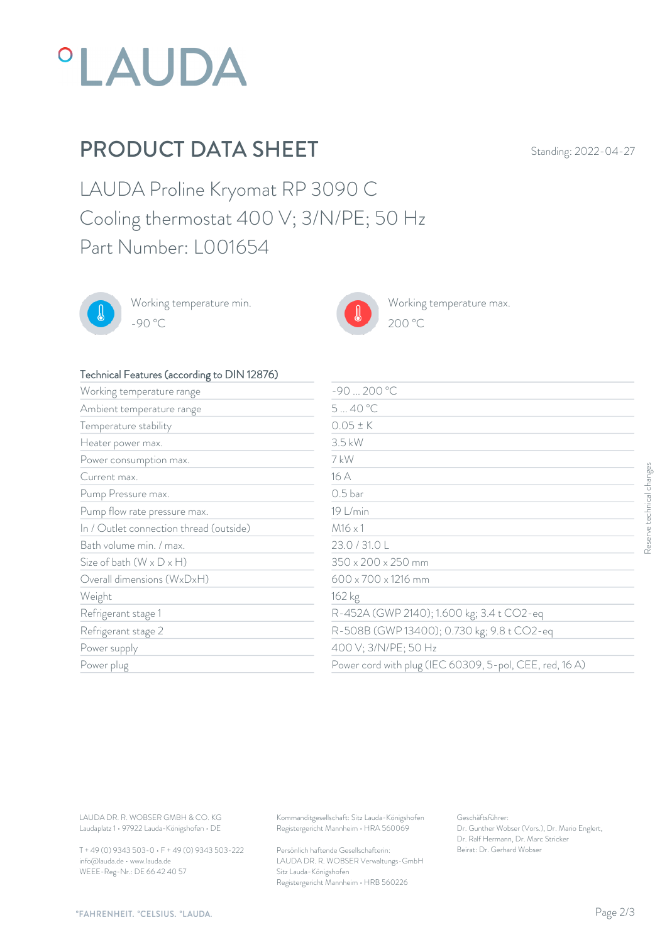

## PRODUCT DATA SHEET Standing: 2022-04-27

LAUDA Proline Kryomat RP 3090 C Cooling thermostat 400 V; 3/N/PE; 50 Hz Part Number: L001654



Working temperature min. -90 °C 200 °C



Working temperature max.



## Technical Features (according to DIN 12876)

| Working temperature range                                                                                                           | $-90200 °C$                                                                                                                     |                                                                                                                                         |                           |
|-------------------------------------------------------------------------------------------------------------------------------------|---------------------------------------------------------------------------------------------------------------------------------|-----------------------------------------------------------------------------------------------------------------------------------------|---------------------------|
| Ambient temperature range                                                                                                           | 540°C                                                                                                                           |                                                                                                                                         |                           |
| Temperature stability                                                                                                               | $0.05 \pm K$                                                                                                                    |                                                                                                                                         |                           |
| Heater power max.                                                                                                                   | $3.5$ kW                                                                                                                        |                                                                                                                                         |                           |
| Power consumption max.                                                                                                              | 7 kW                                                                                                                            |                                                                                                                                         |                           |
| Current max.                                                                                                                        | 16 A                                                                                                                            |                                                                                                                                         | Reserve technical changes |
| Pump Pressure max.                                                                                                                  | 0.5 <sub>bar</sub>                                                                                                              |                                                                                                                                         |                           |
| Pump flow rate pressure max.                                                                                                        | 19 L/min                                                                                                                        |                                                                                                                                         |                           |
| In / Outlet connection thread (outside)                                                                                             | $M16 \times 1$                                                                                                                  |                                                                                                                                         |                           |
| Bath volume min. / max.                                                                                                             | 23.0 / 31.0 L                                                                                                                   |                                                                                                                                         |                           |
| Size of bath $(W \times D \times H)$                                                                                                | 350 x 200 x 250 mm                                                                                                              |                                                                                                                                         |                           |
| Overall dimensions (WxDxH)                                                                                                          | 600 x 700 x 1216 mm                                                                                                             |                                                                                                                                         |                           |
| Weight                                                                                                                              | 162 kg                                                                                                                          |                                                                                                                                         |                           |
| Refrigerant stage 1                                                                                                                 | R-452A (GWP 2140); 1.600 kg; 3.4 t CO2-eq                                                                                       |                                                                                                                                         |                           |
| Refrigerant stage 2                                                                                                                 |                                                                                                                                 | R-508B (GWP 13400); 0.730 kg; 9.8 t CO2-eq                                                                                              |                           |
| Power supply                                                                                                                        | 400 V; 3/N/PE; 50 Hz                                                                                                            |                                                                                                                                         |                           |
| Power plug                                                                                                                          |                                                                                                                                 | Power cord with plug (IEC 60309, 5-pol, CEE, red, 16A)                                                                                  |                           |
|                                                                                                                                     |                                                                                                                                 |                                                                                                                                         |                           |
| LAUDA DR. R. WOBSER GMBH & CO. KG<br>Laudaplatz 1 · 97922 Lauda-Königshofen · DE<br>T + 49 (0) 9343 503-0 · F + 49 (0) 9343 503-222 | Kommanditgesellschaft: Sitz Lauda-Königshofen<br>Registergericht Mannheim · HRA 560069<br>Persönlich haftende Gesellschafterin: | Geschäftsführer:<br>Dr. Gunther Wobser (Vors.), Dr. Mario Englert,<br>Dr. Ralf Hermann, Dr. Marc Stricker<br>Beirat: Dr. Gerhard Wobser |                           |

T + 49 (0) 9343 503-0 • F + 49 (0) 9343 503-222 info@lauda.de • www.lauda.de WEEE-Reg-Nr.: DE 66 42 40 57

> Persönlich haftende Gesellschafterin: Beirat: Dr. Gerhard Wobse LAUDA DR. R. WOBSER Verwaltungs-GmbH Sitz Lauda-Königshofen Registergericht Mannheim • HRB 560226